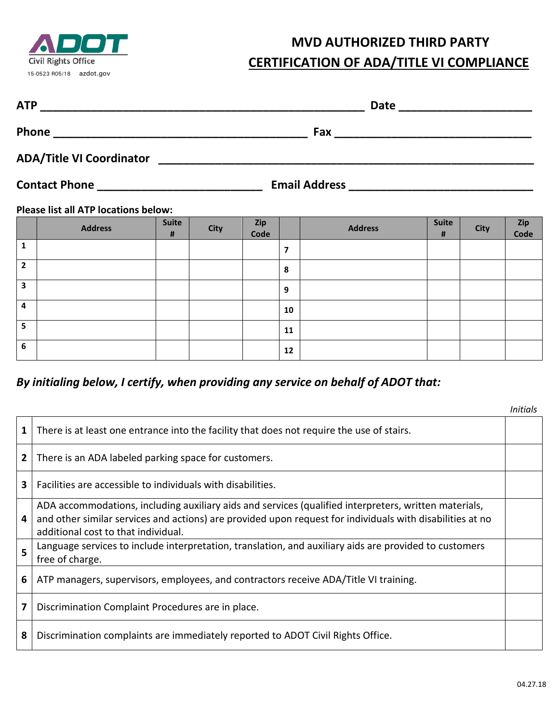

## **MVD AUTHORIZED THIRD PARTY**

|  | <b>CERTIFICATION OF ADA/TITLE VI COMPLIANCE</b> |  |  |
|--|-------------------------------------------------|--|--|
|--|-------------------------------------------------|--|--|

| $13-0323$ $N03/10$ azuvi.yov                                                                                                         | Clear                                                                                                                       |  |
|--------------------------------------------------------------------------------------------------------------------------------------|-----------------------------------------------------------------------------------------------------------------------------|--|
| <b>ATP</b><br><u> 1989 - Johann John Harry Harry Harry Harry Harry Harry Harry Harry Harry Harry Harry Harry Harry Harry Harry H</u> | Date                                                                                                                        |  |
| Phone<br><u> 1980 - Johann Barn, mars and de British and de British and de British and de British and de British and de Br</u>       | Fax<br><u> 1980 - Jan Stein Bernstein, mars and der Stein Bernstein und der Stein Bernstein und der Stein Bernstein und</u> |  |
| <b>ADA/Title VI Coordinator</b>                                                                                                      |                                                                                                                             |  |
| <b>Contact Phone</b>                                                                                                                 | <b>Email Address</b>                                                                                                        |  |

## **Please list all ATP locations below:**

|                         | <b>Address</b> | <b>Suite</b><br># | <b>City</b> | Zip<br>Code |                         | <b>Address</b> | <b>Suite</b><br># | <b>City</b> | Zip<br>Code |
|-------------------------|----------------|-------------------|-------------|-------------|-------------------------|----------------|-------------------|-------------|-------------|
| $\mathbf{1}$            |                |                   |             |             | $\overline{\mathbf{z}}$ |                |                   |             |             |
| $\overline{2}$          |                |                   |             |             | 8                       |                |                   |             |             |
| $\overline{\mathbf{3}}$ |                |                   |             |             | 9                       |                |                   |             |             |
| 4                       |                |                   |             |             | 10                      |                |                   |             |             |
| 5                       |                |                   |             |             | 11                      |                |                   |             |             |
| 6                       |                |                   |             |             | 12                      |                |                   |             |             |

## *By initialing below, I certify, when providing any service on behalf of ADOT that:*

|   |                                                                                                                                                                                                                                                           | Initials |
|---|-----------------------------------------------------------------------------------------------------------------------------------------------------------------------------------------------------------------------------------------------------------|----------|
| 1 | There is at least one entrance into the facility that does not require the use of stairs.                                                                                                                                                                 |          |
| 2 | There is an ADA labeled parking space for customers.                                                                                                                                                                                                      |          |
| 3 | Facilities are accessible to individuals with disabilities.                                                                                                                                                                                               |          |
| 4 | ADA accommodations, including auxiliary aids and services (qualified interpreters, written materials,<br>and other similar services and actions) are provided upon request for individuals with disabilities at no<br>additional cost to that individual. |          |
| 5 | Language services to include interpretation, translation, and auxiliary aids are provided to customers<br>free of charge.                                                                                                                                 |          |
| 6 | ATP managers, supervisors, employees, and contractors receive ADA/Title VI training.                                                                                                                                                                      |          |
| 7 | Discrimination Complaint Procedures are in place.                                                                                                                                                                                                         |          |
| 8 | Discrimination complaints are immediately reported to ADOT Civil Rights Office.                                                                                                                                                                           |          |